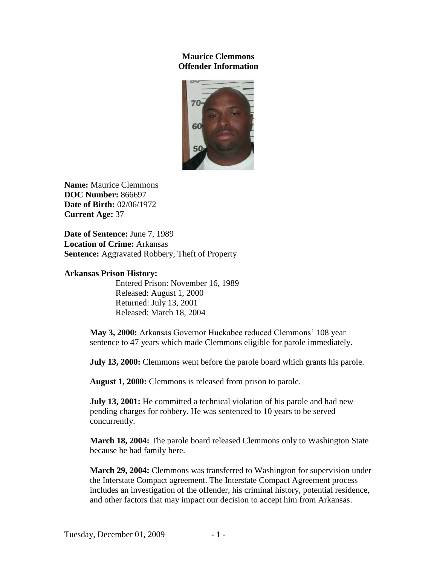## **Maurice Clemmons Offender Information**



**Name:** Maurice Clemmons **DOC Number:** 866697 **Date of Birth:** 02/06/1972 **Current Age:** 37

**Date of Sentence:** June 7, 1989 **Location of Crime:** Arkansas **Sentence:** Aggravated Robbery, Theft of Property

## **Arkansas Prison History:**

Entered Prison: November 16, 1989 Released: August 1, 2000 Returned: July 13, 2001 Released: March 18, 2004

**May 3, 2000:** Arkansas Governor Huckabee reduced Clemmons' 108 year sentence to 47 years which made Clemmons eligible for parole immediately.

**July 13, 2000:** Clemmons went before the parole board which grants his parole.

**August 1, 2000:** Clemmons is released from prison to parole.

**July 13, 2001:** He committed a technical violation of his parole and had new pending charges for robbery. He was sentenced to 10 years to be served concurrently.

**March 18, 2004:** The parole board released Clemmons only to Washington State because he had family here.

**March 29, 2004:** Clemmons was transferred to Washington for supervision under the Interstate Compact agreement. The Interstate Compact Agreement process includes an investigation of the offender, his criminal history, potential residence, and other factors that may impact our decision to accept him from Arkansas.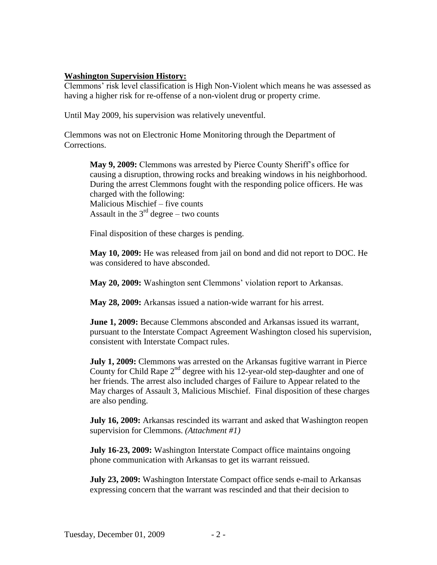## **Washington Supervision History:**

Clemmons' risk level classification is High Non-Violent which means he was assessed as having a higher risk for re-offense of a non-violent drug or property crime.

Until May 2009, his supervision was relatively uneventful.

Clemmons was not on Electronic Home Monitoring through the Department of Corrections.

**May 9, 2009:** Clemmons was arrested by Pierce County Sheriff's office for causing a disruption, throwing rocks and breaking windows in his neighborhood. During the arrest Clemmons fought with the responding police officers. He was charged with the following: Malicious Mischief – five counts Assault in the  $3<sup>rd</sup>$  degree – two counts

Final disposition of these charges is pending.

**May 10, 2009:** He was released from jail on bond and did not report to DOC. He was considered to have absconded.

**May 20, 2009:** Washington sent Clemmons' violation report to Arkansas.

**May 28, 2009:** Arkansas issued a nation-wide warrant for his arrest.

**June 1, 2009:** Because Clemmons absconded and Arkansas issued its warrant, pursuant to the Interstate Compact Agreement Washington closed his supervision, consistent with Interstate Compact rules.

**July 1, 2009:** Clemmons was arrested on the Arkansas fugitive warrant in Pierce County for Child Rape  $2^{nd}$  degree with his 12-year-old step-daughter and one of her friends. The arrest also included charges of Failure to Appear related to the May charges of Assault 3, Malicious Mischief. Final disposition of these charges are also pending.

**July 16, 2009:** Arkansas rescinded its warrant and asked that Washington reopen supervision for Clemmons. *(Attachment #1)*

**July 16-23, 2009:** Washington Interstate Compact office maintains ongoing phone communication with Arkansas to get its warrant reissued.

**July 23, 2009:** Washington Interstate Compact office sends e-mail to Arkansas expressing concern that the warrant was rescinded and that their decision to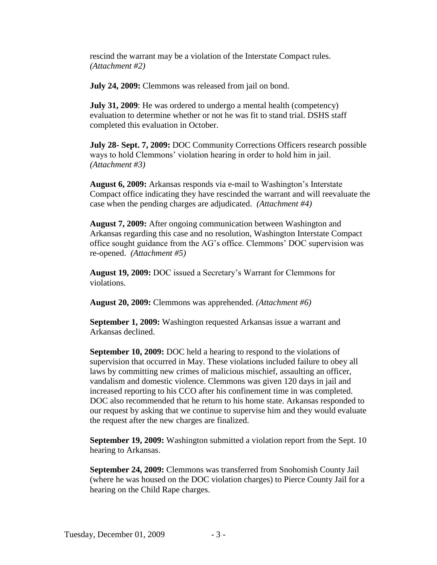rescind the warrant may be a violation of the Interstate Compact rules. *(Attachment #2)*

**July 24, 2009:** Clemmons was released from jail on bond.

**July 31, 2009**: He was ordered to undergo a mental health (competency) evaluation to determine whether or not he was fit to stand trial. DSHS staff completed this evaluation in October.

**July 28- Sept. 7, 2009:** DOC Community Corrections Officers research possible ways to hold Clemmons' violation hearing in order to hold him in jail. *(Attachment #3)*

**August 6, 2009:** Arkansas responds via e-mail to Washington's Interstate Compact office indicating they have rescinded the warrant and will reevaluate the case when the pending charges are adjudicated. *(Attachment #4)* 

**August 7, 2009:** After ongoing communication between Washington and Arkansas regarding this case and no resolution, Washington Interstate Compact office sought guidance from the AG's office. Clemmons' DOC supervision was re-opened. *(Attachment #5)*

**August 19, 2009:** DOC issued a Secretary's Warrant for Clemmons for violations.

**August 20, 2009:** Clemmons was apprehended. *(Attachment #6)*

**September 1, 2009:** Washington requested Arkansas issue a warrant and Arkansas declined.

**September 10, 2009:** DOC held a hearing to respond to the violations of supervision that occurred in May. These violations included failure to obey all laws by committing new crimes of malicious mischief, assaulting an officer, vandalism and domestic violence. Clemmons was given 120 days in jail and increased reporting to his CCO after his confinement time in was completed. DOC also recommended that he return to his home state. Arkansas responded to our request by asking that we continue to supervise him and they would evaluate the request after the new charges are finalized.

**September 19, 2009:** Washington submitted a violation report from the Sept. 10 hearing to Arkansas.

**September 24, 2009:** Clemmons was transferred from Snohomish County Jail (where he was housed on the DOC violation charges) to Pierce County Jail for a hearing on the Child Rape charges.